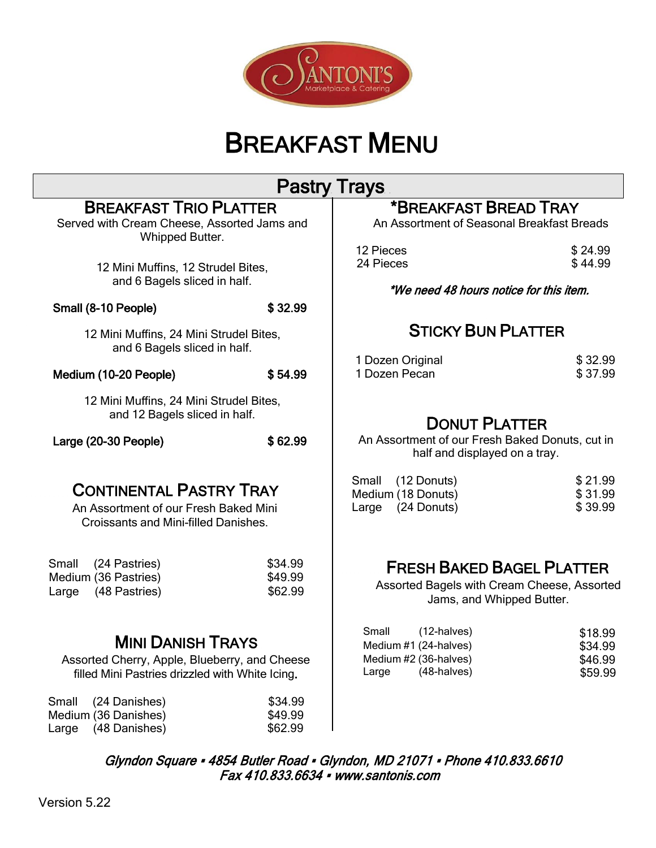

# BREAKFAST MENU

#### BREAKFAST TRIO PLATTER Served with Cream Cheese, Assorted Jams and Whipped Butter. 12 Mini Muffins, 12 Strudel Bites, and 6 Bagels sliced in half. Small (8-10 People) \$ 32.99 12 Mini Muffins, 24 Mini Strudel Bites, and 6 Bagels sliced in half. Medium (10-20 People)  $$54.99$ 12 Mini Muffins, 24 Mini Strudel Bites, and 12 Bagels sliced in half. Large (20-30 People)  $$62.99$  CONTINENTAL PASTRY TRAY An Assortment of our Fresh Baked Mini Croissants and Mini-filled Danishes. Small (24 Pastries) \$34.99 Medium (36 Pastries)  $$49.99$ Large (48 Pastries) \$62.99 MINI DANISH TRAYS Assorted Cherry, Apple, Blueberry, and Cheese filled Mini Pastries drizzled with White Icing. \*BREAKFAST BREAD TRAY An Assortment of Seasonal Breakfast Breads 12 Pieces \$ 24.99<br>24 Pieces \$ 44.99 24 Pieces \*We need 48 hours notice for this item. . . STICKY BUN PLATTER 1 Dozen Original \$ 32.99<br>1 Dozen Pecan \$ 37 99 1 Dozen Pecan DONUT PLATTER An Assortment of our Fresh Baked Donuts, cut in half and displayed on a tray. Small (12 Donuts) \$ 21.99 Medium (18 Donuts) \$ 31.99 Large (24 Donuts) \$ 39.99 FRESH BAKED BAGEL PLATTER Assorted Bagels with Cream Cheese, Assorted Jams, and Whipped Butter. Small (12-halves) \$18.99 Medium #1 (24-halves) \$34.99 Medium #2 (36-halves) \$46.99 (48-halves) \$59.99 Small (24 Danishes) \$34.99 Medium (36 Danishes)  $$49.99$ Pastry Trays

 Glyndon Square ▪ 4854 Butler Road ▪ Glyndon, MD 21071 ▪ Phone 410.833.6610 Fax 410.833.6634 ▪ [www.santonis.com](http://www.santonis.com/)

Large (48 Danishes) \$62.99